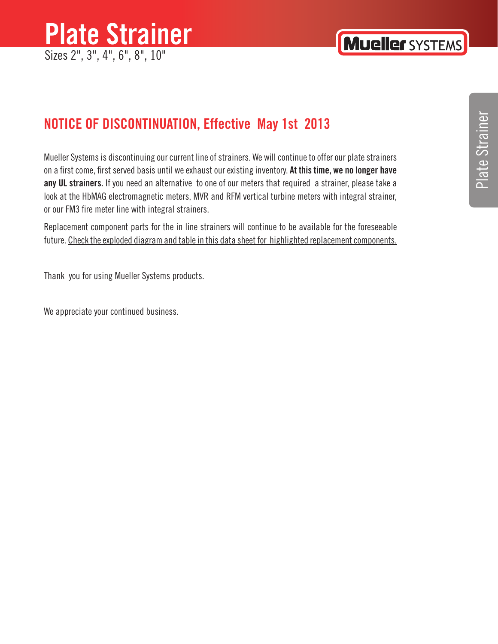## **Plate Strainer** Sizes 2", 3", 4", 6", 8", 10"

#### **NOTICE OF DISCONTINUATION, Effective May 1st 2013**

Mueller Systems is discontinuing our current line of strainers. We will continue to offer our plate strainers on a first come, first served basis until we exhaust our existing inventory. **At this time, we no longer have any UL strainers.** If you need an alternative to one of our meters that required a strainer, please take a look at the HbMAG electromagnetic meters, MVR and RFM vertical turbine meters with integral strainer, or our FM3 fire meter line with integral strainers.

Replacement component parts for the in line strainers will continue to be available for the foreseeable future. Check the exploded diagram and table in this data sheet for highlighted replacement components.

Thank you for using Mueller Systems products.

We appreciate your continued business.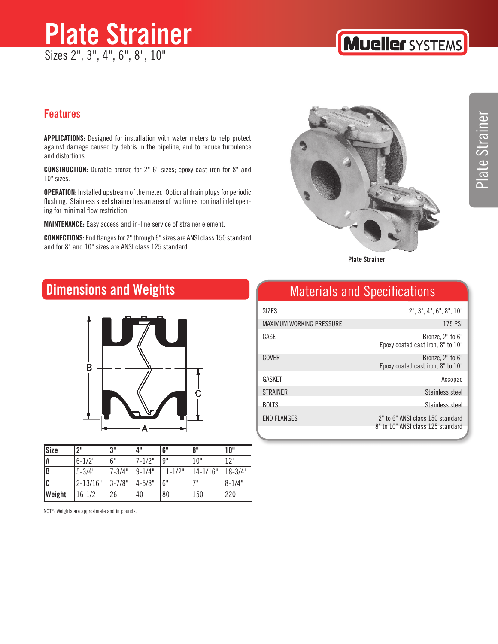## **Plate Strainer** Sizes 2", 3", 4", 6", 8", 10"

## **Mueller SYSTEMS**

#### **Features**

**APPLICATIONS:** Designed for installation with water meters to help protect against damage caused by debris in the pipeline, and to reduce turbulence and distortions.

**CONSTRUCTION:** Durable bronze for 2"-6" sizes; epoxy cast iron for 8" and 10" sizes.

**OPERATION:** Installed upstream of the meter. Optional drain plugs for periodic flushing. Stainless steel strainer has an area of two times nominal inlet opening for minimal flow restriction.

**MAINTENANCE:** Easy access and in-line service of strainer element.

**CONNECTIONS:** End flanges for 2" through 6" sizes are ANSI class 150 standard and for 8" and 10" sizes are ANSI class 125 standard.



**Plate Strainer**

#### **Dimensions and Weights**



| Size          | ייף          | 3"         | 4"          | 6"           | 8"           | 10"              |
|---------------|--------------|------------|-------------|--------------|--------------|------------------|
| A             | $6 - 1/2"$   | 6"         | $7 - 1/2"$  | 9"           | 10"          | 12 <sup>11</sup> |
| $\parallel$ B | $5 - 3/4"$   | $7 - 3/4"$ | $ 9-1/4"$   | $11 - 1/2$ " | $14 - 1/16"$ | $ 18-3/4"$       |
| l C           | $2 - 13/16"$ | $3 - 7/8"$ | $14 - 5/8"$ | 6"           | 71           | $8 - 1/4"$       |
| Weight        | $16 - 1/2$   | 26         | 40          | 80           | 150          | 220              |

NOTE: Weights are approximate and in pounds.

## Materials and Specifications

| SI7FS                           | $2$ ", $3$ ", $4$ ", $6$ ", $8$ ", $10$ "                             |
|---------------------------------|-----------------------------------------------------------------------|
| <b>MAXIMUM WORKING PRESSURE</b> | 175 PSI                                                               |
| CASE                            | Bronze, 2" to 6"<br>Epoxy coated cast iron, 8" to 10"                 |
| <b>COVER</b>                    | Bronze, 2" to 6"<br>Epoxy coated cast iron, 8" to 10"                 |
| GASKET                          | Accopac                                                               |
| <b>STRAINER</b>                 | Stainless steel                                                       |
| <b>BOLTS</b>                    | Stainless steel                                                       |
| <b>END FLANGES</b>              | 2" to 6" ANSI class 150 standard<br>8" to 10" ANSI class 125 standard |
|                                 |                                                                       |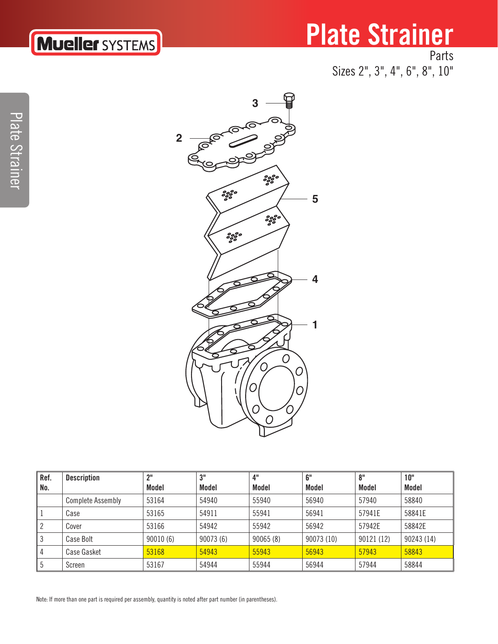# **Mueller SYSTEMS**

## **Plate Strainer** Parts

Sizes 2", 3", 4", 6", 8", 10"

Plate Strainer Plate Strainer



| Ref. | <b>Description</b>       | $2^{\rm H}$ | יופ      | 4"       | 6"         | 8"         | 10"        |
|------|--------------------------|-------------|----------|----------|------------|------------|------------|
| No.  |                          | Model       | Model    | Model    | Model      | Model      | Model      |
|      | <b>Complete Assembly</b> | 53164       | 54940    | 55940    | 56940      | 57940      | 58840      |
| 1    | Case                     | 53165       | 54911    | 55941    | 56941      | 57941E     | 58841E     |
| 2    | Cover                    | 53166       | 54942    | 55942    | 56942      | 57942E     | 58842E     |
| l 3  | Case Bolt                | 90010(6)    | 90073(6) | 90065(8) | 90073 (10) | 90121 (12) | 90243 (14) |
| 4    | <b>Case Gasket</b>       | 53168       | 54943    | 55943    | 56943      | 57943      | 58843      |
| 5    | Screen                   | 53167       | 54944    | 55944    | 56944      | 57944      | 58844      |

Note: If more than one part is required per assembly, quantity is noted after part number (in parentheses).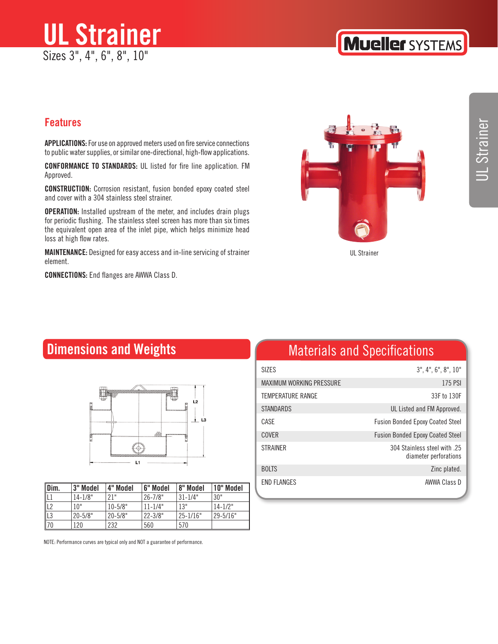

#### **Features**

**APPLICATIONS:** For use on approved meters used on fire service connections to public water supplies, or similar one-directional, high-flow applications.

**CONFORMANCE TO STANDARDS:** UL listed for fire line application. FM Approved.

**CONSTRUCTION:** Corrosion resistant, fusion bonded epoxy coated steel and cover with a 304 stainless steel strainer.

**OPERATION:** Installed upstream of the meter, and includes drain plugs for periodic flushing. The stainless steel screen has more than six times the equivalent open area of the inlet pipe, which helps minimize head loss at high flow rates.

**MAINTENANCE:** Designed for easy access and in-line servicing of strainer element.

**CONNECTIONS:** End flanges are AWWA Class D.



UL Strainer

#### **Dimensions and Weights**



| Dim. | l 3" Model  | 4" Model    | <b>6" Model</b> | 8" Model     | 10" Model     |
|------|-------------|-------------|-----------------|--------------|---------------|
| IL1  | $14 - 1/8"$ | 21"         | 126-7/8"        | $131 - 1/4"$ | 30"           |
| L2   | 10"         | $10 - 5/8"$ | $11 - 1/4"$     | 13"          | $14 - 1/2"$   |
| L3   | $20 - 5/8"$ | 20-5/8"     | 22-3/8"         | 25-1/16"     | $129 - 5/16"$ |
| 70   | 120         | 232         | 560             | 570          |               |

NOTE: Performance curves are typical only and NOT a guarantee of performance.

### Materials and Specifications

| SI7FS                           | $3$ ", $4$ ", $6$ ", $8$ ", $10$ "                   |
|---------------------------------|------------------------------------------------------|
| <b>MAXIMUM WORKING PRESSURE</b> | 175 PSI                                              |
| <b>TEMPERATURE RANGE</b>        | 33F to 130F                                          |
| <b>STANDARDS</b>                | UL Listed and FM Approved.                           |
| CASE                            | <b>Fusion Bonded Epoxy Coated Steel</b>              |
| <b>COVER</b>                    | <b>Fusion Bonded Epoxy Coated Steel</b>              |
| <b>STRAINER</b>                 | 304 Stainless steel with 25<br>diameter perforations |
| <b>BOLTS</b>                    | Zinc plated.                                         |
| <b>FND FLANGES</b>              | AWWA Class D                                         |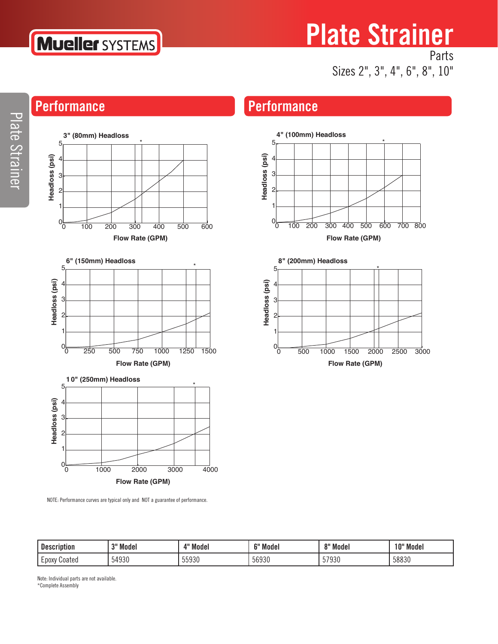

# **Plate Strainer**

0 100 200 300 400 500 600 700 800

**Flow Rate (GPM)**

\*

0 500 1000 1500 2000 2500 3000

**Flow Rate (GPM)**

Parts Sizes 2", 3", 4", 6", 8", 10"

\*

## **Performance Performance**

**4" (100mm) Headloss**

**8" (200mm) Headloss**

5

 $0<sub>L</sub>$ 

**Headloss (psi)**

Headloss (psi)

**Headloss (psi)**

Headloss (psi)

5



NOTE: Performance curves are typical only and NOT a guarantee of performance.

| <b>Description</b> | २" Model | Model<br>A II   | <b>CH M</b><br>Model | 8" Model           | 10" Model     |
|--------------------|----------|-----------------|----------------------|--------------------|---------------|
| Coated<br>∟DOXV    | 54930    | 55020<br>຺ຉຉໟຉຩ | 56930                | EJOOO<br>793U<br>◡ | EOOO<br>ჂᲒᲒᲙᲡ |

Note: Individual parts are not available. \*Complete Assembly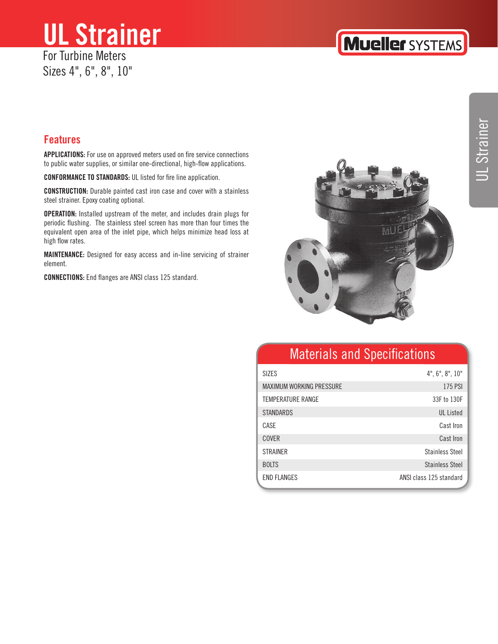## **UL Strainer** For Turbine Meters

Sizes 4", 6", 8", 10"

#### **Features**

**APPLICATIONS:** For use on approved meters used on fire service connections to public water supplies, or similar one-directional, high-flow applications.

**CONFORMANCE TO STANDARDS:** UL listed for fire line application.

**CONSTRUCTION:** Durable painted cast iron case and cover with a stainless steel strainer. Epoxy coating optional.

**OPERATION:** Installed upstream of the meter, and includes drain plugs for periodic flushing. The stainless steel screen has more than four times the equivalent open area of the inlet pipe, which helps minimize head loss at high flow rates.

**MAINTENANCE:** Designed for easy access and in-line servicing of strainer element.

**CONNECTIONS:** End flanges are ANSI class 125 standard.



#### Materials and Specifications

| <b>SIZES</b>                    | $4$ ", $6$ ", $8$ ", $10$ " |
|---------------------------------|-----------------------------|
| <b>MAXIMUM WORKING PRESSURE</b> | 175 PSI                     |
| <b>TEMPERATURE RANGE</b>        | 33F to 130F                 |
| <b>STANDARDS</b>                | <b>UL</b> Listed            |
| CASE                            | Cast Iron                   |
| <b>COVER</b>                    | Cast Iron                   |
| <b>STRAINER</b>                 | <b>Stainless Steel</b>      |
| <b>BOLTS</b>                    | <b>Stainless Steel</b>      |
| <b>END FLANGES</b>              | ANSI class 125 standard     |